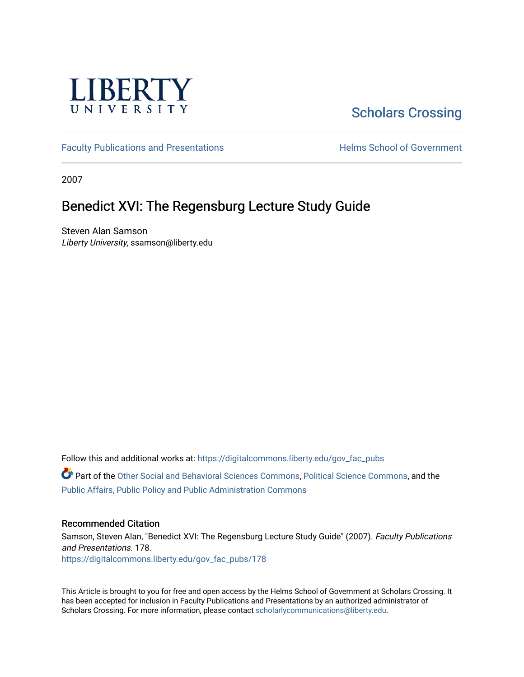

# [Scholars Crossing](https://digitalcommons.liberty.edu/)

[Faculty Publications and Presentations](https://digitalcommons.liberty.edu/gov_fac_pubs) **Exercise School of Government** 

2007

### Benedict XVI: The Regensburg Lecture Study Guide

Steven Alan Samson Liberty University, ssamson@liberty.edu

Follow this and additional works at: [https://digitalcommons.liberty.edu/gov\\_fac\\_pubs](https://digitalcommons.liberty.edu/gov_fac_pubs?utm_source=digitalcommons.liberty.edu%2Fgov_fac_pubs%2F178&utm_medium=PDF&utm_campaign=PDFCoverPages)

Part of the [Other Social and Behavioral Sciences Commons](http://network.bepress.com/hgg/discipline/437?utm_source=digitalcommons.liberty.edu%2Fgov_fac_pubs%2F178&utm_medium=PDF&utm_campaign=PDFCoverPages), [Political Science Commons](http://network.bepress.com/hgg/discipline/386?utm_source=digitalcommons.liberty.edu%2Fgov_fac_pubs%2F178&utm_medium=PDF&utm_campaign=PDFCoverPages), and the [Public Affairs, Public Policy and Public Administration Commons](http://network.bepress.com/hgg/discipline/393?utm_source=digitalcommons.liberty.edu%2Fgov_fac_pubs%2F178&utm_medium=PDF&utm_campaign=PDFCoverPages)

### Recommended Citation

Samson, Steven Alan, "Benedict XVI: The Regensburg Lecture Study Guide" (2007). Faculty Publications and Presentations. 178. [https://digitalcommons.liberty.edu/gov\\_fac\\_pubs/178](https://digitalcommons.liberty.edu/gov_fac_pubs/178?utm_source=digitalcommons.liberty.edu%2Fgov_fac_pubs%2F178&utm_medium=PDF&utm_campaign=PDFCoverPages)

This Article is brought to you for free and open access by the Helms School of Government at Scholars Crossing. It has been accepted for inclusion in Faculty Publications and Presentations by an authorized administrator of Scholars Crossing. For more information, please contact [scholarlycommunications@liberty.edu.](mailto:scholarlycommunications@liberty.edu)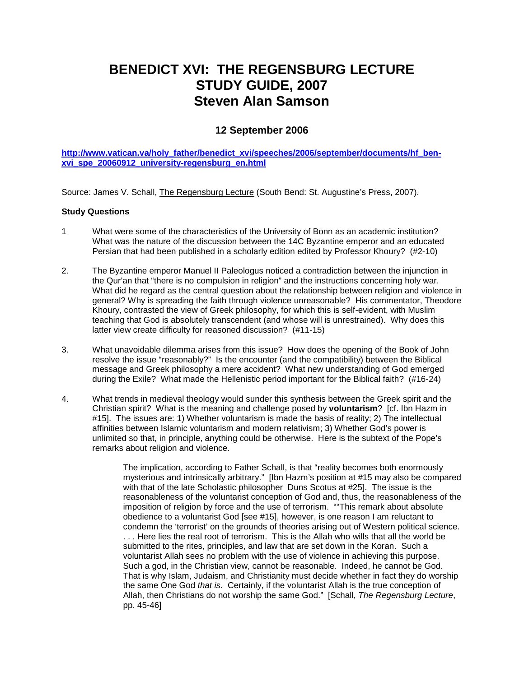## **BENEDICT XVI: THE REGENSBURG LECTURE STUDY GUIDE, 2007 Steven Alan Samson**

### **12 September 2006**

**[http://www.vatican.va/holy\\_father/benedict\\_xvi/speeches/2006/september/documents/hf\\_ben](http://www.vatican.va/holy_father/benedict_xvi/speeches/2006/september/documents/hf_ben-xvi_spe_20060912_university-regensburg_en.html)[xvi\\_spe\\_20060912\\_university-regensburg\\_en.html](http://www.vatican.va/holy_father/benedict_xvi/speeches/2006/september/documents/hf_ben-xvi_spe_20060912_university-regensburg_en.html)**

Source: James V. Schall, The Regensburg Lecture (South Bend: St. Augustine's Press, 2007).

#### **Study Questions**

- 1 What were some of the characteristics of the University of Bonn as an academic institution? What was the nature of the discussion between the 14C Byzantine emperor and an educated Persian that had been published in a scholarly edition edited by Professor Khoury? (#2-10)
- 2. The Byzantine emperor Manuel II Paleologus noticed a contradiction between the injunction in the Qur'an that "there is no compulsion in religion" and the instructions concerning holy war. What did he regard as the central question about the relationship between religion and violence in general? Why is spreading the faith through violence unreasonable? His commentator, Theodore Khoury, contrasted the view of Greek philosophy, for which this is self-evident, with Muslim teaching that God is absolutely transcendent (and whose will is unrestrained). Why does this latter view create difficulty for reasoned discussion? (#11-15)
- 3. What unavoidable dilemma arises from this issue? How does the opening of the Book of John resolve the issue "reasonably?" Is the encounter (and the compatibility) between the Biblical message and Greek philosophy a mere accident? What new understanding of God emerged during the Exile? What made the Hellenistic period important for the Biblical faith? (#16-24)
- 4. What trends in medieval theology would sunder this synthesis between the Greek spirit and the Christian spirit? What is the meaning and challenge posed by **voluntarism**? [cf. Ibn Hazm in #15]. The issues are: 1) Whether voluntarism is made the basis of reality; 2) The intellectual affinities between Islamic voluntarism and modern relativism; 3) Whether God's power is unlimited so that, in principle, anything could be otherwise. Here is the subtext of the Pope's remarks about religion and violence.

The implication, according to Father Schall, is that "reality becomes both enormously mysterious and intrinsically arbitrary." [Ibn Hazm's position at #15 may also be compared with that of the late Scholastic philosopher Duns Scotus at #25]. The issue is the reasonableness of the voluntarist conception of God and, thus, the reasonableness of the imposition of religion by force and the use of terrorism. ""This remark about absolute obedience to a voluntarist God [see #15], however, is one reason I am reluctant to condemn the 'terrorist' on the grounds of theories arising out of Western political science. . . . Here lies the real root of terrorism. This is the Allah who wills that all the world be submitted to the rites, principles, and law that are set down in the Koran. Such a voluntarist Allah sees no problem with the use of violence in achieving this purpose. Such a god, in the Christian view, cannot be reasonable. Indeed, he cannot be God. That is why Islam, Judaism, and Christianity must decide whether in fact they do worship the same One God *that is*. Certainly, if the voluntarist Allah is the true conception of Allah, then Christians do not worship the same God." [Schall, *The Regensburg Lecture*, pp. 45-46]